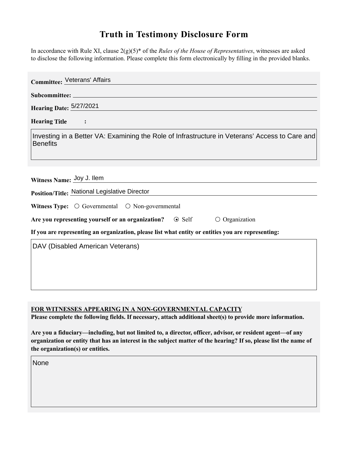## **Truth in Testimony Disclosure Form**

In accordance with Rule XI, clause 2(g)(5)\* of the *Rules of the House of Representatives*, witnesses are asked to disclose the following information. Please complete this form electronically by filling in the provided blanks.

| <b>Committee: Veterans' Affairs</b>                                                                               |
|-------------------------------------------------------------------------------------------------------------------|
|                                                                                                                   |
| <b>Hearing Date: 5/27/2021</b>                                                                                    |
| <b>Hearing Title</b><br>$\ddot{\cdot}$                                                                            |
| Investing in a Better VA: Examining the Role of Infrastructure in Veterans' Access to Care and<br><b>Benefits</b> |
| Witness Name: Joy J. Ilem                                                                                         |
| Position/Title: National Legislative Director                                                                     |
| Witness Type: $\bigcirc$ Governmental $\bigcirc$ Non-governmental                                                 |
| Are you representing yourself or an organization? $\circ$ Self<br>$\circ$ Organization                            |
| If you are representing an organization, please list what entity or entities you are representing:                |
| DAV (Disabled American Veterans)                                                                                  |
|                                                                                                                   |
|                                                                                                                   |
|                                                                                                                   |

**FOR WITNESSES APPEARING IN A NON-GOVERNMENTAL CAPACITY**

**Please complete the following fields. If necessary, attach additional sheet(s) to provide more information.**

**Are you a fiduciary—including, but not limited to, a director, officer, advisor, or resident agent—of any organization or entity that has an interest in the subject matter of the hearing? If so, please list the name of the organization(s) or entities.**

None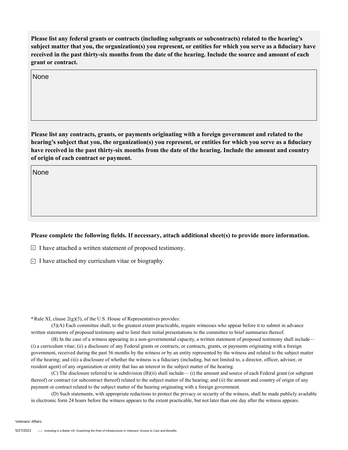**Please list any federal grants or contracts (including subgrants or subcontracts) related to the hearing's subject matter that you, the organization(s) you represent, or entities for which you serve as a fiduciary have received in the past thirty-six months from the date of the hearing. Include the source and amount of each grant or contract.** 

None

**Please list any contracts, grants, or payments originating with a foreign government and related to the hearing's subject that you, the organization(s) you represent, or entities for which you serve as a fiduciary have received in the past thirty-six months from the date of the hearing. Include the amount and country of origin of each contract or payment.** 

None

## **Please complete the following fields. If necessary, attach additional sheet(s) to provide more information.**

 $\Box$  I have attached a written statement of proposed testimony.

 $\Box$  I have attached my curriculum vitae or biography.

**\***Rule XI, clause 2(g)(5), of the U.S. House of Representatives provides:

(5)(A) Each committee shall, to the greatest extent practicable, require witnesses who appear before it to submit in advance written statements of proposed testimony and to limit their initial presentations to the committee to brief summaries thereof.

(B) In the case of a witness appearing in a non-governmental capacity, a written statement of proposed testimony shall include— (i) a curriculum vitae; (ii) a disclosure of any Federal grants or contracts, or contracts, grants, or payments originating with a foreign government, received during the past 36 months by the witness or by an entity represented by the witness and related to the subject matter of the hearing; and (iii) a disclosure of whether the witness is a fiduciary (including, but not limited to, a director, officer, advisor, or resident agent) of any organization or entity that has an interest in the subject matter of the hearing.

(C) The disclosure referred to in subdivision (B)(ii) shall include— (i) the amount and source of each Federal grant (or subgrant thereof) or contract (or subcontract thereof) related to the subject matter of the hearing; and (ii) the amount and country of origin of any payment or contract related to the subject matter of the hearing originating with a foreign government.

(D) Such statements, with appropriate redactions to protect the privacy or security of the witness, shall be made publicly available in electronic form 24 hours before the witness appears to the extent practicable, but not later than one day after the witness appears.

Veterans' Affairs